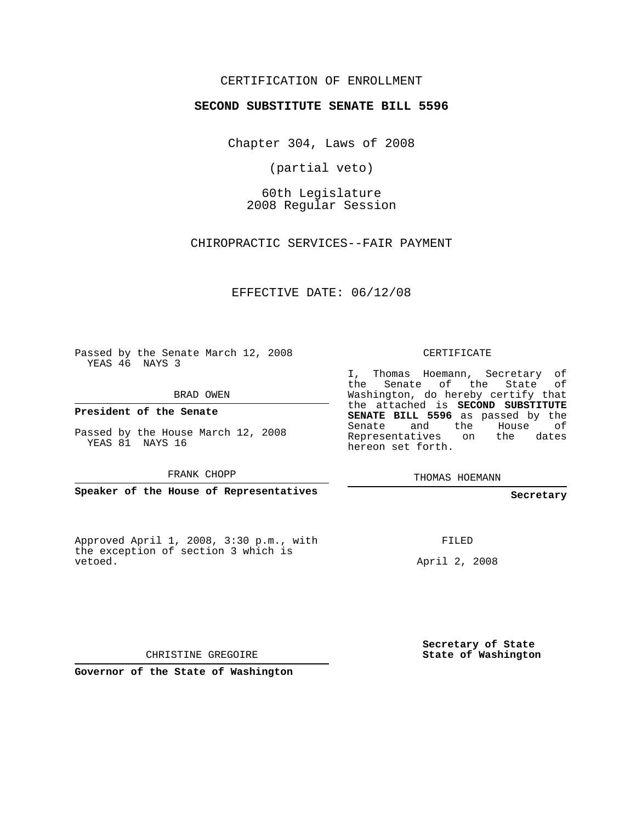## CERTIFICATION OF ENROLLMENT

## **SECOND SUBSTITUTE SENATE BILL 5596**

Chapter 304, Laws of 2008

(partial veto)

60th Legislature 2008 Regular Session

CHIROPRACTIC SERVICES--FAIR PAYMENT

EFFECTIVE DATE: 06/12/08

Passed by the Senate March 12, 2008 YEAS 46 NAYS 3

BRAD OWEN

**President of the Senate**

Passed by the House March 12, 2008 YEAS 81 NAYS 16

FRANK CHOPP

**Speaker of the House of Representatives**

Approved April 1, 2008, 3:30 p.m., with the exception of section 3 which is vetoed.

CERTIFICATE

I, Thomas Hoemann, Secretary of the Senate of the State of Washington, do hereby certify that the attached is **SECOND SUBSTITUTE SENATE BILL 5596** as passed by the Senate and the House of Representatives on the dates hereon set forth.

THOMAS HOEMANN

**Secretary**

FILED

April 2, 2008

**Secretary of State State of Washington**

CHRISTINE GREGOIRE

**Governor of the State of Washington**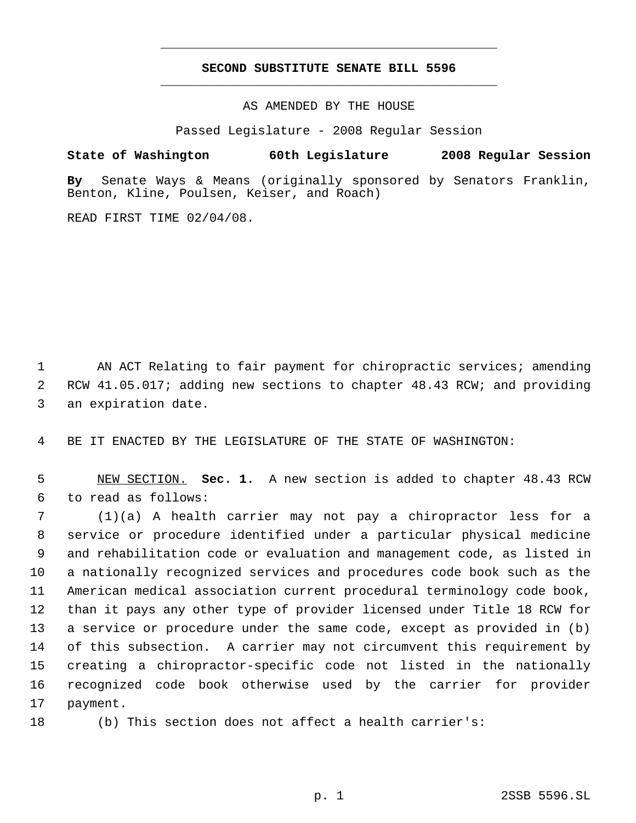## **SECOND SUBSTITUTE SENATE BILL 5596** \_\_\_\_\_\_\_\_\_\_\_\_\_\_\_\_\_\_\_\_\_\_\_\_\_\_\_\_\_\_\_\_\_\_\_\_\_\_\_\_\_\_\_\_\_

\_\_\_\_\_\_\_\_\_\_\_\_\_\_\_\_\_\_\_\_\_\_\_\_\_\_\_\_\_\_\_\_\_\_\_\_\_\_\_\_\_\_\_\_\_

AS AMENDED BY THE HOUSE

Passed Legislature - 2008 Regular Session

## **State of Washington 60th Legislature 2008 Regular Session**

**By** Senate Ways & Means (originally sponsored by Senators Franklin, Benton, Kline, Poulsen, Keiser, and Roach)

READ FIRST TIME 02/04/08.

 AN ACT Relating to fair payment for chiropractic services; amending RCW 41.05.017; adding new sections to chapter 48.43 RCW; and providing an expiration date.

BE IT ENACTED BY THE LEGISLATURE OF THE STATE OF WASHINGTON:

 NEW SECTION. **Sec. 1.** A new section is added to chapter 48.43 RCW to read as follows:

 (1)(a) A health carrier may not pay a chiropractor less for a service or procedure identified under a particular physical medicine and rehabilitation code or evaluation and management code, as listed in a nationally recognized services and procedures code book such as the American medical association current procedural terminology code book, than it pays any other type of provider licensed under Title 18 RCW for a service or procedure under the same code, except as provided in (b) of this subsection. A carrier may not circumvent this requirement by creating a chiropractor-specific code not listed in the nationally recognized code book otherwise used by the carrier for provider payment.

(b) This section does not affect a health carrier's: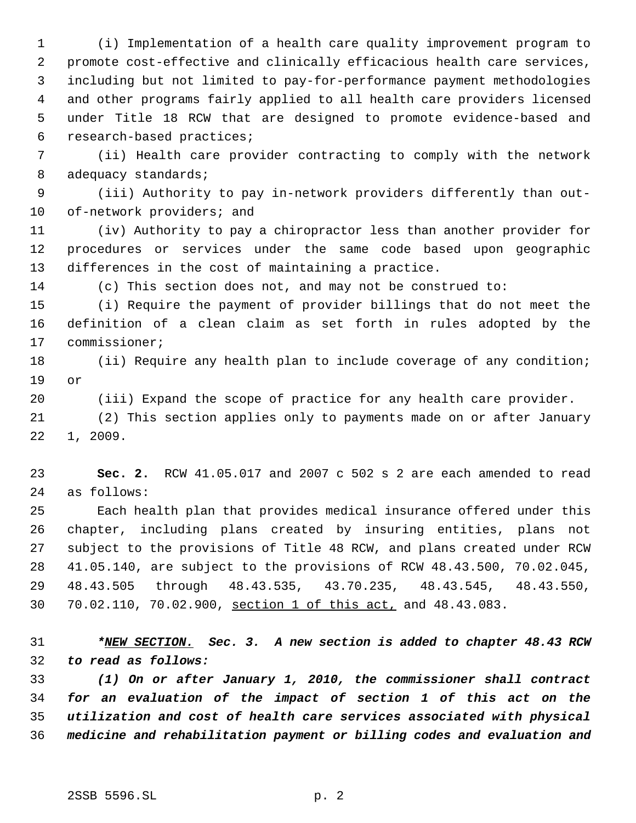(i) Implementation of a health care quality improvement program to promote cost-effective and clinically efficacious health care services, including but not limited to pay-for-performance payment methodologies and other programs fairly applied to all health care providers licensed under Title 18 RCW that are designed to promote evidence-based and research-based practices;

 (ii) Health care provider contracting to comply with the network 8 adequacy standards;

 (iii) Authority to pay in-network providers differently than out-of-network providers; and

 (iv) Authority to pay a chiropractor less than another provider for procedures or services under the same code based upon geographic differences in the cost of maintaining a practice.

(c) This section does not, and may not be construed to:

 (i) Require the payment of provider billings that do not meet the definition of a clean claim as set forth in rules adopted by the commissioner;

18 (ii) Require any health plan to include coverage of any condition; or

(iii) Expand the scope of practice for any health care provider.

 (2) This section applies only to payments made on or after January 1, 2009.

 **Sec. 2.** RCW 41.05.017 and 2007 c 502 s 2 are each amended to read as follows:

 Each health plan that provides medical insurance offered under this chapter, including plans created by insuring entities, plans not subject to the provisions of Title 48 RCW, and plans created under RCW 41.05.140, are subject to the provisions of RCW 48.43.500, 70.02.045, 48.43.505 through 48.43.535, 43.70.235, 48.43.545, 48.43.550, 70.02.110, 70.02.900, section 1 of this act, and 48.43.083.

 *\*NEW SECTION. Sec. 3. A new section is added to chapter 48.43 RCW to read as follows:*

 *(1) On or after January 1, 2010, the commissioner shall contract for an evaluation of the impact of section 1 of this act on the utilization and cost of health care services associated with physical medicine and rehabilitation payment or billing codes and evaluation and*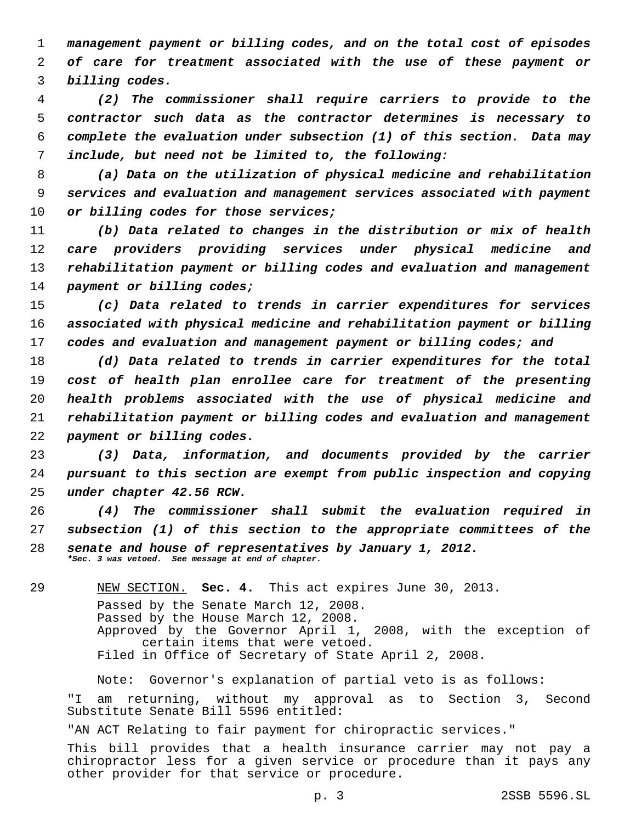*management payment or billing codes, and on the total cost of episodes of care for treatment associated with the use of these payment or billing codes.*

 *(2) The commissioner shall require carriers to provide to the contractor such data as the contractor determines is necessary to complete the evaluation under subsection (1) of this section. Data may include, but need not be limited to, the following:*

 *(a) Data on the utilization of physical medicine and rehabilitation services and evaluation and management services associated with payment or billing codes for those services;*

 *(b) Data related to changes in the distribution or mix of health care providers providing services under physical medicine and rehabilitation payment or billing codes and evaluation and management payment or billing codes;*

 *(c) Data related to trends in carrier expenditures for services associated with physical medicine and rehabilitation payment or billing codes and evaluation and management payment or billing codes; and*

 *(d) Data related to trends in carrier expenditures for the total cost of health plan enrollee care for treatment of the presenting health problems associated with the use of physical medicine and rehabilitation payment or billing codes and evaluation and management payment or billing codes.*

 *(3) Data, information, and documents provided by the carrier pursuant to this section are exempt from public inspection and copying under chapter 42.56 RCW.*

 *(4) The commissioner shall submit the evaluation required in subsection (1) of this section to the appropriate committees of the senate and house of representatives by January 1, 2012. \*Sec. 3 was vetoed. See message at end of chapter.*

NEW SECTION. **Sec. 4.** This act expires June 30, 2013.

Passed by the Senate March 12, 2008.

Passed by the House March 12, 2008.

Approved by the Governor April 1, 2008, with the exception of certain items that were vetoed.

Filed in Office of Secretary of State April 2, 2008.

Note: Governor's explanation of partial veto is as follows:

"I am returning, without my approval as to Section 3, Second Substitute Senate Bill 5596 entitled:

"AN ACT Relating to fair payment for chiropractic services."

This bill provides that a health insurance carrier may not pay a chiropractor less for a given service or procedure than it pays any other provider for that service or procedure.